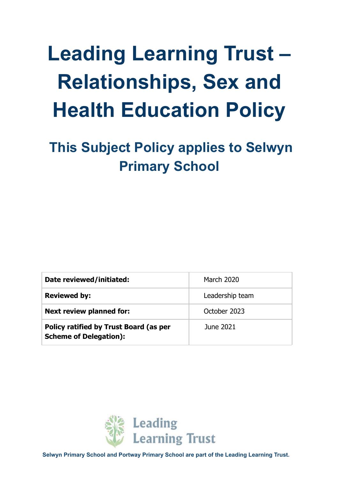# **Leading Learning Trust – Relationships, Sex and Health Education Policy**

**This Subject Policy applies to Selwyn Primary School**

| Date reviewed/initiated:                                                       | <b>March 2020</b> |
|--------------------------------------------------------------------------------|-------------------|
| <b>Reviewed by:</b>                                                            | Leadership team   |
| <b>Next review planned for:</b>                                                | October 2023      |
| <b>Policy ratified by Trust Board (as per</b><br><b>Scheme of Delegation):</b> | June 2021         |



**Selwyn Primary School and Portway Primary School are part of the Leading Learning Trust.**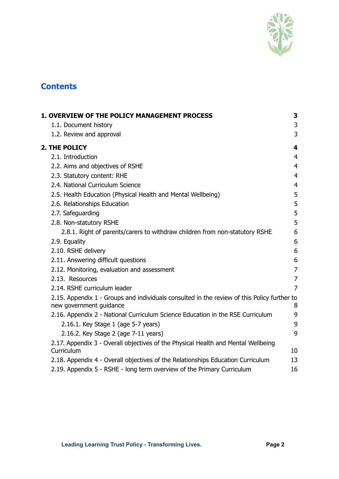

# **Contents**

| <b>1. OVERVIEW OF THE POLICY MANAGEMENT PROCESS</b>                                                                    | 3              |
|------------------------------------------------------------------------------------------------------------------------|----------------|
| 1.1. Document history                                                                                                  | 3              |
| 1.2. Review and approval                                                                                               | 3              |
| 2. THE POLICY                                                                                                          | 4              |
| 2.1. Introduction                                                                                                      | $\overline{4}$ |
| 2.2. Aims and objectives of RSHE                                                                                       | $\overline{4}$ |
| 2.3. Statutory content: RHE                                                                                            | $\overline{4}$ |
| 2.4. National Curriculum Science                                                                                       | $\overline{4}$ |
| 2.5. Health Education (Physical Health and Mental Wellbeing)                                                           | 5              |
| 2.6. Relationships Education                                                                                           | 5              |
| 2.7. Safeguarding                                                                                                      | 5              |
| 2.8. Non-statutory RSHE                                                                                                | 5              |
| 2.8.1. Right of parents/carers to withdraw children from non-statutory RSHE                                            | 6              |
| 2.9. Equality                                                                                                          | 6              |
| 2.10. RSHE delivery                                                                                                    | 6              |
| 2.11. Answering difficult questions                                                                                    | 6              |
| 2.12. Monitoring, evaluation and assessment                                                                            | $\overline{7}$ |
| 2.13. Resources                                                                                                        | 7              |
| 2.14. RSHE curriculum leader                                                                                           | 7              |
| 2.15. Appendix 1 - Groups and individuals consulted in the review of this Policy further to<br>new government guidance | 8              |
| 2.16. Appendix 2 - National Curriculum Science Education in the RSE Curriculum                                         | 9              |
| 2.16.1. Key Stage 1 (age 5-7 years)                                                                                    | 9              |
| 2.16.2. Key Stage 2 (age 7-11 years)                                                                                   | 9              |
| 2.17. Appendix 3 - Overall objectives of the Physical Health and Mental Wellbeing<br>Curriculum                        | 10             |
| 2.18. Appendix 4 - Overall objectives of the Relationships Education Curriculum                                        | 13             |
| 2.19. Appendix 5 - RSHE - long term overview of the Primary Curriculum                                                 | 16             |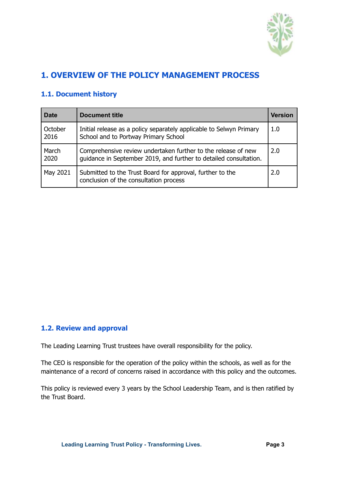

# <span id="page-2-0"></span>**1. OVERVIEW OF THE POLICY MANAGEMENT PROCESS**

# **1.1. Document history**

| <b>Date</b>     | <b>Document title</b><br>Version                                                                                                   |     |  |  |  |
|-----------------|------------------------------------------------------------------------------------------------------------------------------------|-----|--|--|--|
| October<br>2016 | Initial release as a policy separately applicable to Selwyn Primary<br>School and to Portway Primary School                        | 1.0 |  |  |  |
| March<br>2020   | Comprehensive review undertaken further to the release of new<br>guidance in September 2019, and further to detailed consultation. | 2.0 |  |  |  |
| May 2021        | Submitted to the Trust Board for approval, further to the<br>conclusion of the consultation process                                | 2.0 |  |  |  |

#### <span id="page-2-1"></span>**1.2. Review and approval**

The Leading Learning Trust trustees have overall responsibility for the policy.

The CEO is responsible for the operation of the policy within the schools, as well as for the maintenance of a record of concerns raised in accordance with this policy and the outcomes.

This policy is reviewed every 3 years by the School Leadership Team, and is then ratified by the Trust Board.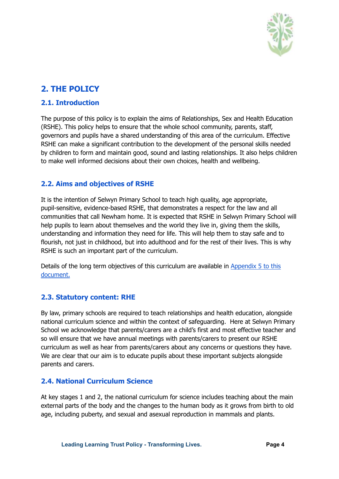

# <span id="page-3-0"></span>**2. THE POLICY**

# <span id="page-3-1"></span>**2.1. Introduction**

The purpose of this policy is to explain the aims of Relationships, Sex and Health Education (RSHE). This policy helps to ensure that the whole school community, parents, staff, governors and pupils have a shared understanding of this area of the curriculum. Effective RSHE can make a significant contribution to the development of the personal skills needed by children to form and maintain good, sound and lasting relationships. It also helps children to make well informed decisions about their own choices, health and wellbeing.

# <span id="page-3-2"></span>**2.2. Aims and objectives of RSHE**

It is the intention of Selwyn Primary School to teach high quality, age appropriate, pupil-sensitive, evidence-based RSHE, that demonstrates a respect for the law and all communities that call Newham home. It is expected that RSHE in Selwyn Primary School will help pupils to learn about themselves and the world they live in, giving them the skills, understanding and information they need for life. This will help them to stay safe and to flourish, not just in childhood, but into adulthood and for the rest of their lives. This is why RSHE is such an important part of the curriculum.

Details of the long term objectives of this curriculum are available in [Appendix](#page-15-0) 5 to this [document.](#page-15-0)

## <span id="page-3-3"></span>**2.3. Statutory content: RHE**

By law, primary schools are required to teach relationships and health education, alongside national curriculum science and within the context of safeguarding. Here at Selwyn Primary School we acknowledge that parents/carers are a child's first and most effective teacher and so will ensure that we have annual meetings with parents/carers to present our RSHE curriculum as well as hear from parents/carers about any concerns or questions they have. We are clear that our aim is to educate pupils about these important subjects alongside parents and carers.

## <span id="page-3-4"></span>**2.4. National Curriculum Science**

At key stages 1 and 2, the national curriculum for science includes teaching about the main external parts of the body and the changes to the human body as it grows from birth to old age, including puberty, and sexual and asexual reproduction in mammals and plants.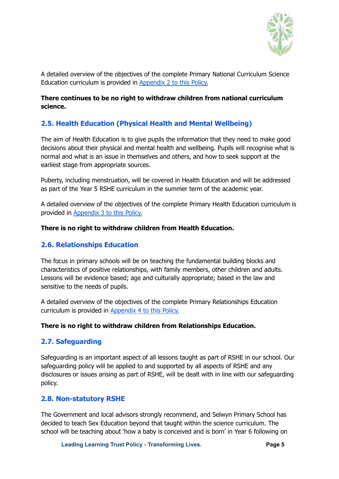

A detailed overview of the objectives of the complete Primary National Curriculum Science Education curriculum is provided in [Appendix](#page-8-0) 2 to this Policy.

#### **There continues to be no right to withdraw children from national curriculum science.**

# <span id="page-4-0"></span>**2.5. Health Education (Physical Health and Mental Wellbeing)**

The aim of Health Education is to give pupils the information that they need to make good decisions about their physical and mental health and wellbeing. Pupils will recognise what is normal and what is an issue in themselves and others, and how to seek support at the earliest stage from appropriate sources.

Puberty, including menstruation, will be covered in Health Education and will be addressed as part of the Year 5 RSHE curriculum in the summer term of the academic year.

A detailed overview of the objectives of the complete Primary Health Education curriculum is provided in [Appendix](#page-9-0) 3 to this Policy.

#### **There is no right to withdraw children from Health Education.**

#### <span id="page-4-1"></span>**2.6. Relationships Education**

The focus in primary schools will be on teaching the fundamental building blocks and characteristics of positive relationships, with family members, other children and adults. Lessons will be evidence based; age and culturally appropriate; based in the law and sensitive to the needs of pupils.

A detailed overview of the objectives of the complete Primary Relationships Education curriculum is provided in [Appendix](#page-12-0) 4 to this Policy.

#### **There is no right to withdraw children from Relationships Education.**

#### <span id="page-4-2"></span>**2.7. Safeguarding**

Safeguarding is an important aspect of all lessons taught as part of RSHE in our school. Our safeguarding policy will be applied to and supported by all aspects of RSHE and any disclosures or issues arising as part of RSHE, will be dealt with in line with our safeguarding policy.

#### <span id="page-4-3"></span>**2.8. Non-statutory RSHE**

The Government and local advisors strongly recommend, and Selwyn Primary School has decided to teach Sex Education beyond that taught within the science curriculum. The school will be teaching about 'how a baby is conceived and is born' in Year 6 following on

**Leading Learning Trust Policy - Transforming Lives. Page 5**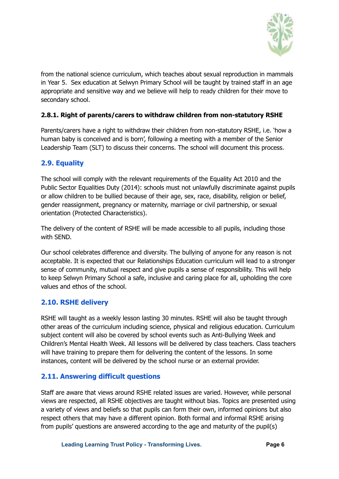

from the national science curriculum, which teaches about sexual reproduction in mammals in Year 5. Sex education at Selwyn Primary School will be taught by trained staff in an age appropriate and sensitive way and we believe will help to ready children for their move to secondary school.

#### <span id="page-5-0"></span>**2.8.1. Right of parents/carers to withdraw children from non-statutory RSHE**

Parents/carers have a right to withdraw their children from non-statutory RSHE, i.e. 'how a human baby is conceived and is born', following a meeting with a member of the Senior Leadership Team (SLT) to discuss their concerns. The school will document this process.

## <span id="page-5-1"></span>**2.9. Equality**

The school will comply with the relevant requirements of the Equality Act 2010 and the Public Sector Equalities Duty (2014): schools must not unlawfully discriminate against pupils or allow children to be bullied because of their age, sex, race, disability, religion or belief, gender reassignment, pregnancy or maternity, marriage or civil partnership, or sexual orientation (Protected Characteristics).

The delivery of the content of RSHE will be made accessible to all pupils, including those with SEND.

Our school celebrates difference and diversity. The bullying of anyone for any reason is not acceptable. It is expected that our Relationships Education curriculum will lead to a stronger sense of community, mutual respect and give pupils a sense of responsibility. This will help to keep Selwyn Primary School a safe, inclusive and caring place for all, upholding the core values and ethos of the school.

#### <span id="page-5-2"></span>**2.10. RSHE delivery**

RSHE will taught as a weekly lesson lasting 30 minutes. RSHE will also be taught through other areas of the curriculum including science, physical and religious education. Curriculum subject content will also be covered by school events such as Anti-Bullying Week and Children's Mental Health Week. All lessons will be delivered by class teachers. Class teachers will have training to prepare them for delivering the content of the lessons. In some instances, content will be delivered by the school nurse or an external provider.

## <span id="page-5-3"></span>**2.11. Answering difficult questions**

Staff are aware that views around RSHE related issues are varied. However, while personal views are respected, all RSHE objectives are taught without bias. Topics are presented using a variety of views and beliefs so that pupils can form their own, informed opinions but also respect others that may have a different opinion. Both formal and informal RSHE arising from pupils' questions are answered according to the age and maturity of the pupil(s)

**Leading Learning Trust Policy - Transforming Lives. Page 6**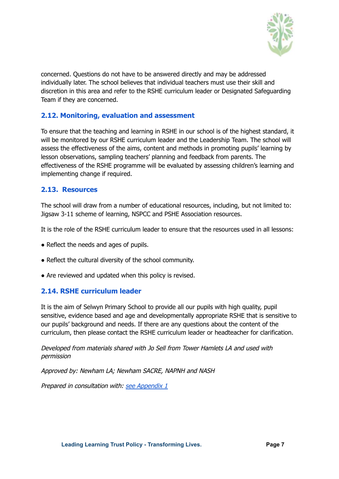

concerned. Questions do not have to be answered directly and may be addressed individually later. The school believes that individual teachers must use their skill and discretion in this area and refer to the RSHE curriculum leader or Designated Safeguarding Team if they are concerned.

## <span id="page-6-0"></span>**2.12. Monitoring, evaluation and assessment**

To ensure that the teaching and learning in RSHE in our school is of the highest standard, it will be monitored by our RSHE curriculum leader and the Leadership Team. The school will assess the effectiveness of the aims, content and methods in promoting pupils' learning by lesson observations, sampling teachers' planning and feedback from parents. The effectiveness of the RSHE programme will be evaluated by assessing children's learning and implementing change if required.

#### <span id="page-6-1"></span>**2.13. Resources**

The school will draw from a number of educational resources, including, but not limited to: Jigsaw 3-11 scheme of learning, NSPCC and PSHE Association resources.

It is the role of the RSHE curriculum leader to ensure that the resources used in all lessons:

- Reflect the needs and ages of pupils.
- Reflect the cultural diversity of the school community.
- Are reviewed and updated when this policy is revised.

#### <span id="page-6-2"></span>**2.14. RSHE curriculum leader**

It is the aim of Selwyn Primary School to provide all our pupils with high quality, pupil sensitive, evidence based and age and developmentally appropriate RSHE that is sensitive to our pupils' background and needs. If there are any questions about the content of the curriculum, then please contact the RSHE curriculum leader or headteacher for clarification.

Developed from materials shared with Jo Sell from Tower Hamlets LA and used with permission

Approved by: Newham LA; Newham SACRE, NAPNH and NASH

Prepared in consultation with: see [Appendix](#page-7-0) 1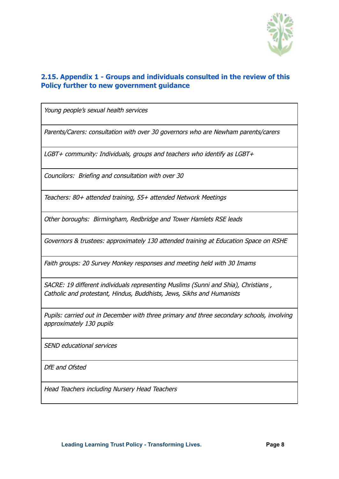

## <span id="page-7-0"></span>**2.15. Appendix 1 - Groups and individuals consulted in the review of this Policy further to new government guidance**

Young people's sexual health services

Parents/Carers: consultation with over 30 governors who are Newham parents/carers

LGBT+ community: Individuals, groups and teachers who identify as LGBT+

Councilors: Briefing and consultation with over 30

Teachers: 80+ attended training, 55+ attended Network Meetings

Other boroughs: Birmingham, Redbridge and Tower Hamlets RSE leads

Governors & trustees: approximately 130 attended training at Education Space on RSHE

Faith groups: 20 Survey Monkey responses and meeting held with 30 Imams

SACRE: 19 different individuals representing Muslims (Sunni and Shia), Christians , Catholic and protestant, Hindus, Buddhists, Jews, Sikhs and Humanists

Pupils: carried out in December with three primary and three secondary schools, involving approximately 130 pupils

SEND educational services

DfE and Ofsted

Head Teachers including Nursery Head Teachers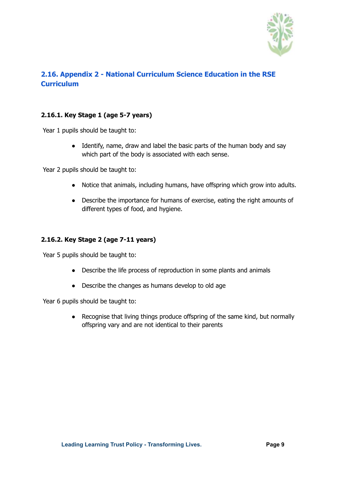

# <span id="page-8-0"></span>**2.16. Appendix 2 - National Curriculum Science Education in the RSE Curriculum**

#### <span id="page-8-1"></span>**2.16.1. Key Stage 1 (age 5-7 years)**

Year 1 pupils should be taught to:

• Identify, name, draw and label the basic parts of the human body and say which part of the body is associated with each sense.

Year 2 pupils should be taught to:

- Notice that animals, including humans, have offspring which grow into adults.
- Describe the importance for humans of exercise, eating the right amounts of different types of food, and hygiene.

#### <span id="page-8-2"></span>**2.16.2. Key Stage 2 (age 7-11 years)**

Year 5 pupils should be taught to:

- Describe the life process of reproduction in some plants and animals
- Describe the changes as humans develop to old age

Year 6 pupils should be taught to:

• Recognise that living things produce offspring of the same kind, but normally offspring vary and are not identical to their parents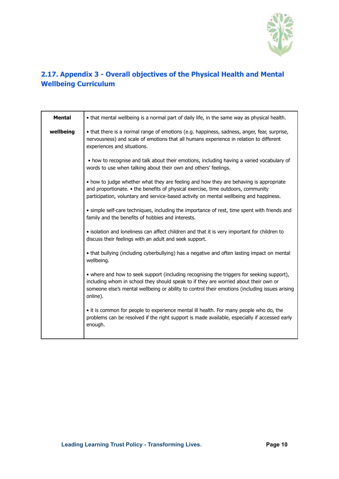

# <span id="page-9-0"></span>**2.17. Appendix 3 - Overall objectives of the Physical Health and Mental Wellbeing Curriculum**

| <b>Mental</b> | • that mental wellbeing is a normal part of daily life, in the same way as physical health.                                                                                                                                                                                                     |
|---------------|-------------------------------------------------------------------------------------------------------------------------------------------------------------------------------------------------------------------------------------------------------------------------------------------------|
| wellbeing     | • that there is a normal range of emotions (e.g. happiness, sadness, anger, fear, surprise,<br>nervousness) and scale of emotions that all humans experience in relation to different<br>experiences and situations.                                                                            |
|               | • how to recognise and talk about their emotions, including having a varied vocabulary of<br>words to use when talking about their own and others' feelings.                                                                                                                                    |
|               | • how to judge whether what they are feeling and how they are behaving is appropriate<br>and proportionate. • the benefits of physical exercise, time outdoors, community<br>participation, voluntary and service-based activity on mental wellbeing and happiness.                             |
|               | • simple self-care techniques, including the importance of rest, time spent with friends and<br>family and the benefits of hobbies and interests.                                                                                                                                               |
|               | • isolation and loneliness can affect children and that it is very important for children to<br>discuss their feelings with an adult and seek support.                                                                                                                                          |
|               | • that bullying (including cyberbullying) has a negative and often lasting impact on mental<br>wellbeing.                                                                                                                                                                                       |
|               | • where and how to seek support (including recognising the triggers for seeking support),<br>including whom in school they should speak to if they are worried about their own or<br>someone else's mental wellbeing or ability to control their emotions (including issues arising<br>online). |
|               | • it is common for people to experience mental ill health. For many people who do, the<br>problems can be resolved if the right support is made available, especially if accessed early<br>enough.                                                                                              |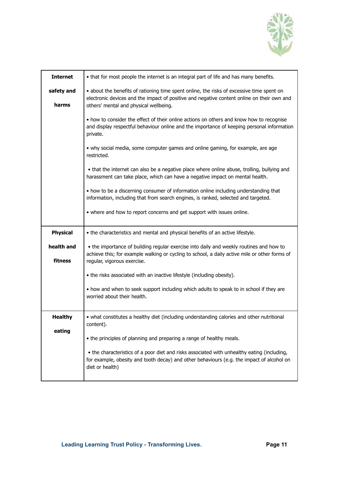

| <b>Internet</b>       | • that for most people the internet is an integral part of life and has many benefits.                                                                                                                                            |  |  |  |  |
|-----------------------|-----------------------------------------------------------------------------------------------------------------------------------------------------------------------------------------------------------------------------------|--|--|--|--|
| safety and<br>harms   | • about the benefits of rationing time spent online, the risks of excessive time spent on<br>electronic devices and the impact of positive and negative content online on their own and<br>others' mental and physical wellbeing. |  |  |  |  |
|                       | • how to consider the effect of their online actions on others and know how to recognise<br>and display respectful behaviour online and the importance of keeping personal information<br>private.                                |  |  |  |  |
|                       | • why social media, some computer games and online gaming, for example, are age<br>restricted.                                                                                                                                    |  |  |  |  |
|                       | • that the internet can also be a negative place where online abuse, trolling, bullying and<br>harassment can take place, which can have a negative impact on mental health.                                                      |  |  |  |  |
|                       | • how to be a discerning consumer of information online including understanding that<br>information, including that from search engines, is ranked, selected and targeted.                                                        |  |  |  |  |
|                       | • where and how to report concerns and get support with issues online.                                                                                                                                                            |  |  |  |  |
| <b>Physical</b>       | • the characteristics and mental and physical benefits of an active lifestyle.                                                                                                                                                    |  |  |  |  |
| health and<br>fitness | • the importance of building regular exercise into daily and weekly routines and how to<br>achieve this; for example walking or cycling to school, a daily active mile or other forms of<br>regular, vigorous exercise.           |  |  |  |  |
|                       |                                                                                                                                                                                                                                   |  |  |  |  |
|                       | • the risks associated with an inactive lifestyle (including obesity).                                                                                                                                                            |  |  |  |  |
|                       | . how and when to seek support including which adults to speak to in school if they are<br>worried about their health.                                                                                                            |  |  |  |  |
| <b>Healthy</b>        | • what constitutes a healthy diet (including understanding calories and other nutritional<br>content).                                                                                                                            |  |  |  |  |
| eating                | • the principles of planning and preparing a range of healthy meals.                                                                                                                                                              |  |  |  |  |
|                       | • the characteristics of a poor diet and risks associated with unhealthy eating (including,<br>for example, obesity and tooth decay) and other behaviours (e.g. the impact of alcohol on<br>diet or health)                       |  |  |  |  |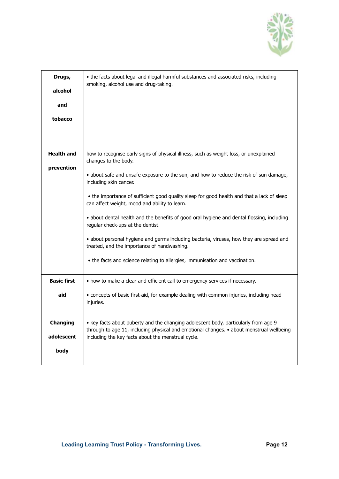

| Drugs,<br>alcohol<br>and<br>tobacco                         | . the facts about legal and illegal harmful substances and associated risks, including<br>smoking, alcohol use and drug-taking.                                                                                                                                                                                                                                                                                                                                                                                                                                                                                                                                                                                                               |
|-------------------------------------------------------------|-----------------------------------------------------------------------------------------------------------------------------------------------------------------------------------------------------------------------------------------------------------------------------------------------------------------------------------------------------------------------------------------------------------------------------------------------------------------------------------------------------------------------------------------------------------------------------------------------------------------------------------------------------------------------------------------------------------------------------------------------|
| Health and<br>prevention                                    | how to recognise early signs of physical illness, such as weight loss, or unexplained<br>changes to the body.<br>• about safe and unsafe exposure to the sun, and how to reduce the risk of sun damage,<br>including skin cancer.<br>. the importance of sufficient good quality sleep for good health and that a lack of sleep<br>can affect weight, mood and ability to learn.<br>. about dental health and the benefits of good oral hygiene and dental flossing, including<br>regular check-ups at the dentist.<br>• about personal hygiene and germs including bacteria, viruses, how they are spread and<br>treated, and the importance of handwashing.<br>• the facts and science relating to allergies, immunisation and vaccination. |
| <b>Basic first</b><br>aid<br>Changing<br>adolescent<br>body | • how to make a clear and efficient call to emergency services if necessary.<br>• concepts of basic first-aid, for example dealing with common injuries, including head<br>injuries.<br>• key facts about puberty and the changing adolescent body, particularly from age 9<br>through to age 11, including physical and emotional changes. • about menstrual wellbeing<br>including the key facts about the menstrual cycle.                                                                                                                                                                                                                                                                                                                 |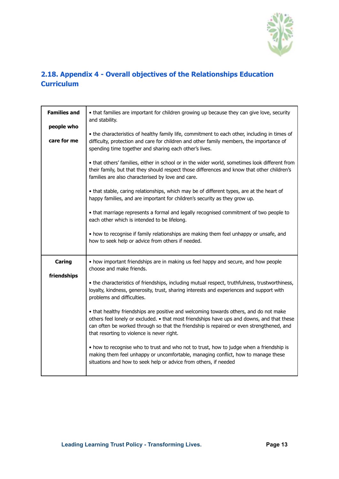

# <span id="page-12-0"></span>**2.18. Appendix 4 - Overall objectives of the Relationships Education Curriculum**

| <b>Families and</b> | • that families are important for children growing up because they can give love, security<br>and stability.                                                                                                                                                                                                                  |  |  |  |  |  |
|---------------------|-------------------------------------------------------------------------------------------------------------------------------------------------------------------------------------------------------------------------------------------------------------------------------------------------------------------------------|--|--|--|--|--|
| people who          |                                                                                                                                                                                                                                                                                                                               |  |  |  |  |  |
| care for me         | . the characteristics of healthy family life, commitment to each other, including in times of<br>difficulty, protection and care for children and other family members, the importance of<br>spending time together and sharing each other's lives.                                                                           |  |  |  |  |  |
|                     | . that others' families, either in school or in the wider world, sometimes look different from<br>their family, but that they should respect those differences and know that other children's<br>families are also characterised by love and care.                                                                            |  |  |  |  |  |
|                     | . that stable, caring relationships, which may be of different types, are at the heart of<br>happy families, and are important for children's security as they grow up.                                                                                                                                                       |  |  |  |  |  |
|                     | . that marriage represents a formal and legally recognised commitment of two people to<br>each other which is intended to be lifelong.                                                                                                                                                                                        |  |  |  |  |  |
|                     | • how to recognise if family relationships are making them feel unhappy or unsafe, and<br>how to seek help or advice from others if needed.                                                                                                                                                                                   |  |  |  |  |  |
| Caring              | • how important friendships are in making us feel happy and secure, and how people<br>choose and make friends.                                                                                                                                                                                                                |  |  |  |  |  |
| friendships         | • the characteristics of friendships, including mutual respect, truthfulness, trustworthiness,<br>loyalty, kindness, generosity, trust, sharing interests and experiences and support with<br>problems and difficulties.                                                                                                      |  |  |  |  |  |
|                     | • that healthy friendships are positive and welcoming towards others, and do not make<br>others feel lonely or excluded. • that most friendships have ups and downs, and that these<br>can often be worked through so that the friendship is repaired or even strengthened, and<br>that resorting to violence is never right. |  |  |  |  |  |
|                     | • how to recognise who to trust and who not to trust, how to judge when a friendship is<br>making them feel unhappy or uncomfortable, managing conflict, how to manage these<br>situations and how to seek help or advice from others, if needed                                                                              |  |  |  |  |  |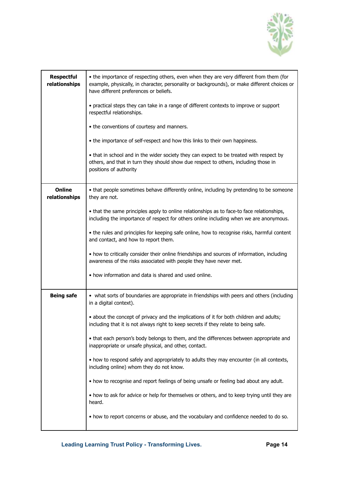

| <b>Respectful</b><br>relationships | • the importance of respecting others, even when they are very different from them (for<br>example, physically, in character, personality or backgrounds), or make different choices or<br>have different preferences or beliefs. |  |  |  |  |  |  |  |
|------------------------------------|-----------------------------------------------------------------------------------------------------------------------------------------------------------------------------------------------------------------------------------|--|--|--|--|--|--|--|
|                                    | • practical steps they can take in a range of different contexts to improve or support<br>respectful relationships.                                                                                                               |  |  |  |  |  |  |  |
|                                    | • the conventions of courtesy and manners.                                                                                                                                                                                        |  |  |  |  |  |  |  |
|                                    | • the importance of self-respect and how this links to their own happiness.                                                                                                                                                       |  |  |  |  |  |  |  |
|                                    | • that in school and in the wider society they can expect to be treated with respect by<br>others, and that in turn they should show due respect to others, including those in<br>positions of authority                          |  |  |  |  |  |  |  |
| <b>Online</b><br>relationships     | • that people sometimes behave differently online, including by pretending to be someone<br>they are not.                                                                                                                         |  |  |  |  |  |  |  |
|                                    | • that the same principles apply to online relationships as to face-to face relationships,<br>including the importance of respect for others online including when we are anonymous.                                              |  |  |  |  |  |  |  |
|                                    | • the rules and principles for keeping safe online, how to recognise risks, harmful content<br>and contact, and how to report them.                                                                                               |  |  |  |  |  |  |  |
|                                    | • how to critically consider their online friendships and sources of information, including<br>awareness of the risks associated with people they have never met.                                                                 |  |  |  |  |  |  |  |
|                                    | • how information and data is shared and used online.                                                                                                                                                                             |  |  |  |  |  |  |  |
| <b>Being safe</b>                  | • what sorts of boundaries are appropriate in friendships with peers and others (including<br>in a digital context).                                                                                                              |  |  |  |  |  |  |  |
|                                    | • about the concept of privacy and the implications of it for both children and adults;<br>including that it is not always right to keep secrets if they relate to being safe.                                                    |  |  |  |  |  |  |  |
|                                    | • that each person's body belongs to them, and the differences between appropriate and<br>inappropriate or unsafe physical, and other, contact.                                                                                   |  |  |  |  |  |  |  |
|                                    | • how to respond safely and appropriately to adults they may encounter (in all contexts,<br>including online) whom they do not know.                                                                                              |  |  |  |  |  |  |  |
|                                    | . how to recognise and report feelings of being unsafe or feeling bad about any adult.                                                                                                                                            |  |  |  |  |  |  |  |
|                                    | • how to ask for advice or help for themselves or others, and to keep trying until they are<br>heard.                                                                                                                             |  |  |  |  |  |  |  |
|                                    | • how to report concerns or abuse, and the vocabulary and confidence needed to do so.                                                                                                                                             |  |  |  |  |  |  |  |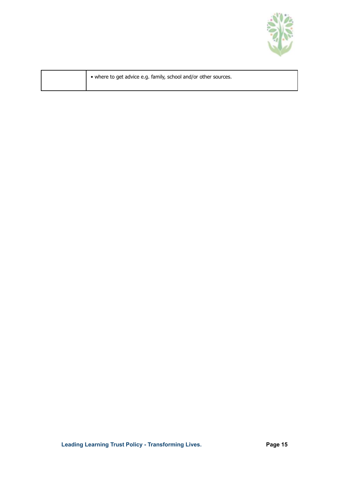

| • where to get advice e.g. family, school and/or other sources. |  |
|-----------------------------------------------------------------|--|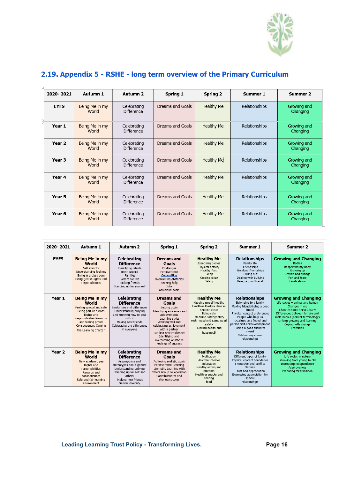

# <span id="page-15-0"></span>**2.19. Appendix 5 - RSHE - long term overview of the Primary Curriculum**

| 2020-2021   | Autumn 1                | Autumn 2                         | Spring 1                | Spring 2          | Summer 1      | Summer 2                |
|-------------|-------------------------|----------------------------------|-------------------------|-------------------|---------------|-------------------------|
| <b>EYFS</b> | Being Me in my<br>World | Celebrating<br><b>Difference</b> | Dreams and Goals        | Healthy Me        | Relationships | Growing and<br>Changing |
| Year 1      | Being Me in my<br>World | Celebrating<br><b>Difference</b> | Dreams and Goals        | <b>Healthy Me</b> | Relationships | Growing and<br>Changing |
| Year 2      | Being Me in my<br>World | Celebrating<br><b>Difference</b> | <b>Dreams and Goals</b> | Healthy Me        | Relationships | Growing and<br>Changing |
| Year 3      | Being Me in my<br>World | Celebrating<br><b>Difference</b> | Dreams and Goals        | <b>Healthy Me</b> | Relationships | Growing and<br>Changing |
| Year 4      | Being Me in my<br>World | Celebrating<br><b>Difference</b> | Dreams and Goals        | <b>Healthy Me</b> | Relationships | Growing and<br>Changing |
| Year 5      | Being Me in my<br>World | Celebrating<br><b>Difference</b> | Dreams and Goals        | <b>Healthy Me</b> | Relationships | Growing and<br>Changing |
| Year 6      | Being Me in my<br>World | Celebrating<br><b>Difference</b> | Dreams and Goals        | Healthy Me        | Relationships | Growing and<br>Changing |

| 2020-2021   | Autumn 1                                                                                                                                                                                                 | Autumn 2                                                                                                                                                                                             | Spring 1                                                                                                                                                                                                                                                                  | Spring 2                                                                                                                                                                                                      | Summer 1                                                                                                                                                                                                                                                                             | Summer 2                                                                                                                                                                                                                                                       |
|-------------|----------------------------------------------------------------------------------------------------------------------------------------------------------------------------------------------------------|------------------------------------------------------------------------------------------------------------------------------------------------------------------------------------------------------|---------------------------------------------------------------------------------------------------------------------------------------------------------------------------------------------------------------------------------------------------------------------------|---------------------------------------------------------------------------------------------------------------------------------------------------------------------------------------------------------------|--------------------------------------------------------------------------------------------------------------------------------------------------------------------------------------------------------------------------------------------------------------------------------------|----------------------------------------------------------------------------------------------------------------------------------------------------------------------------------------------------------------------------------------------------------------|
| <b>EYFS</b> | <b>Being Me in my</b><br>World<br>Self-identity<br>Understanding feelings<br>Being in a classroom<br>Being gentle Rights and<br>responsibilities                                                         | Celebrating<br><b>Difference</b><br>Identifying talents<br>Being special<br><b>Families</b><br>Where we live<br>Making friends<br>Standing up for yourself                                           | <b>Dreams</b> and<br>Goals<br>Challenges<br>Perseverance<br><b>Goal-setting</b><br>Overcoming obstacles<br>Seeking help<br>Jobs<br>Achieving goals                                                                                                                        | <b>Healthy Me</b><br><b>Exercising bodies</b><br>Physical activity<br>Healthy food<br>Sleep<br>Keeping clean<br>Safety                                                                                        | <b>Relationships</b><br>Family life<br>Friendships<br>Breaking friendships<br>Falling out<br>Dealing with bullying<br>Being a good friend                                                                                                                                            | <b>Growing and Changing</b><br><b>Bodies</b><br>Respecting my body<br>Growing up<br>Growth and change<br>Fun and fears<br>Celebrations                                                                                                                         |
| Year 1      | <b>Being Me in my</b><br>World<br>Feeling special and safe<br>Being part of a class<br>Rights and<br>responsibilities Rewards<br>and feeling proud<br><b>Consequences Owning</b><br>the Learning Chartel | Celebrating<br><b>Difference</b><br>Similarities and differences<br>Understanding bullying<br>and knowing how to deal<br>with it<br>Making new friends<br>Celebrating the differences<br>in everyone | <b>Dreams</b> and<br>Goals<br>Setting goals<br>Identifying successes and<br>achievements<br>Learning styles<br>Working well and<br>celebrating achievement<br>with a partner<br>Tackling new challenges<br>Identifying and<br>overcoming obstacles<br>Feelings of success | <b>Healthy Me</b><br>Keeping myself healthy<br>Healthier lifestyle choices<br>Keeping clean<br>Being safe<br>Medicine safety/safety<br>with household items Road<br>safety<br>Linking health and<br>happinesS | <b>Relationships</b><br>Belonging to a family<br>Making friends/being a good<br>friend<br>Physical contact preferences<br>People who help us<br>Oualities as a friend and<br>person Self-acknowledgement<br>Being a good friend to<br>myself<br>Celebrating special<br>relationships | <b>Growing and Changing</b><br>Life cycles - animal and human<br>Changes in me<br>Changes since being a baby<br>Differences between female and<br>male bodies (correct terminology)<br>Linking growing and learning<br>Coping with change<br><b>Transition</b> |
| Year 2      | <b>Being Me in my</b><br>World<br>New academic year<br>Rights and<br>responsibilities<br>Rewards and<br>consequences<br>Safe and fair learning<br>environment                                            | Celebrating<br><b>Difference</b><br>Assumptions and<br>stereotypes about gender<br>Understanding bullving<br>Standing up for self and<br>others<br>Making new friends<br>Gender diversity            | <b>Dreams</b> and<br>Goals<br>Achieving realistic goals<br>Perseverance Learning<br>strengths Learning with<br>others Group co-operation<br>Contributing to and<br>sharing success                                                                                        | <b>Healthy Me</b><br>Motivation<br>Healthier choices<br>Relaxation<br>Healthy eating and<br>nutrition<br>Healthier snacks and<br>sharing<br>food                                                              | <b>Relationships</b><br>Different types of family<br>Physical contact boundaries<br>Friendship and conflict<br>Secrets<br>Trust and appreciation<br>Expressing appreciation for<br>special<br>relationships                                                                          | <b>Growing and Changing</b><br>Life cycles in nature<br>Growing from young to old<br>Increasing independence<br>Assertiveness<br>Preparing for transition                                                                                                      |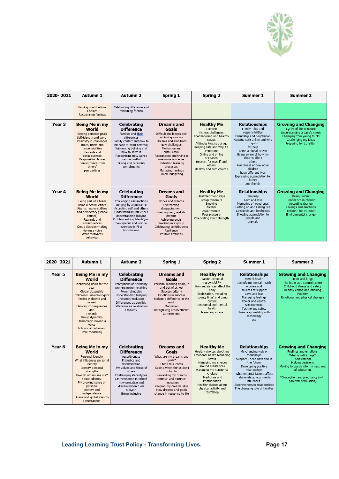

| 2020-2021         | Autumn 1                                                                                                                                                                                                                                                        | Autumn 2                                                                                                                                                                                                                                                                    | Spring 1                                                                                                                                                                                                                                                                              | Spring 2                                                                                                                                                                                                                                                           | Summer 1                                                                                                                                                                                                                                                                                                                                               | Summer 2                                                                                                                                                                  |
|-------------------|-----------------------------------------------------------------------------------------------------------------------------------------------------------------------------------------------------------------------------------------------------------------|-----------------------------------------------------------------------------------------------------------------------------------------------------------------------------------------------------------------------------------------------------------------------------|---------------------------------------------------------------------------------------------------------------------------------------------------------------------------------------------------------------------------------------------------------------------------------------|--------------------------------------------------------------------------------------------------------------------------------------------------------------------------------------------------------------------------------------------------------------------|--------------------------------------------------------------------------------------------------------------------------------------------------------------------------------------------------------------------------------------------------------------------------------------------------------------------------------------------------------|---------------------------------------------------------------------------------------------------------------------------------------------------------------------------|
|                   | Valuing contributions<br>Choices<br>Recognising feelings                                                                                                                                                                                                        | Celebrating difference and<br>remaining friends                                                                                                                                                                                                                             |                                                                                                                                                                                                                                                                                       |                                                                                                                                                                                                                                                                    |                                                                                                                                                                                                                                                                                                                                                        |                                                                                                                                                                           |
| Year <sub>3</sub> | <b>Being Me in my</b><br>World<br>Setting personal goals<br>Self-identity and worth<br>Positivity in challenges<br>Rules, rights and<br>responsibilities<br>Rewards and<br>consequences<br>Responsible choices<br>Seeing things from<br>others'<br>perspectives | Celebrating<br><b>Difference</b><br>Families and their<br>differences<br>Family conflict and how to<br>manage it (child-centred)<br>Witnessing bullying and<br>how to solve it<br>Recognising how words<br>can be hurtful<br>Giving and receiving<br>compliments            | <b>Dreams</b> and<br>Goals<br>Difficult challenges and<br>achieving success<br>Dreams and ambitions<br>New challenges<br>Motivation and<br>enthusiasm<br>Recognising and trying to<br>overcome obstacles<br>Evaluating learning<br>processes<br>Managing feelings<br>Simple budgeting | <b>Healthy Me</b><br>Exercise<br>Fitness challenges<br>Food labelling and healthy<br>swaps<br>Attitudes towards drugs<br>Keeping safe and why it's<br>important<br>Online and offline<br>scenarios<br>Respect for myself and<br>others<br>Healthy and safe choices | <b>Relationships</b><br>Family roles and<br>responsibilities<br>Friendship and negotiation<br>Keeping safe online and who<br>to go to<br>for help<br>Being a global citizen<br>Being aware of how my<br>choices affect<br>others<br>Awareness of how other<br>children<br>have different lives<br>Expressing appreciation for<br>family<br>and friends | <b>Growing and Changing</b><br>Cycles of life in nature<br>Understanding a baby's needs<br>Changing from young to old<br>Challenging my ideas<br>Preparing for transition |
| Year 4            | <b>Being Me in my</b><br>World<br>Being part of a team<br>Being a school citizen<br>Rights, responsibilities<br>and democracy (school<br>council)<br>Rewards and<br>consequences<br>Group decision-making<br>Having a voice<br>What motivates<br>behaviour      | <b>Celebrating</b><br><b>Difference</b><br>Challenging assumptions<br>Judging by appearance<br>Accepting self and others<br>Understanding influences<br>Understanding bullying<br>Problem-solving Identifying<br>how special and unique<br>everyone is First<br>impressions | <b>Dreams</b> and<br>Goals<br>Hopes and dreams<br>Overcoming<br>disappointment<br>Creating new, realistic<br>dreams<br>Achieving goals<br>Working in a group<br>Celebrating contributions<br>Resilience<br>Positive attitudes                                                         | <b>Healthy Me</b><br>Healthier friendships<br>Group dynamics<br>Smoking<br>Alcohol<br>Assertiveness<br>Peer pressure<br>Celebrating inner strength                                                                                                                 | <b>Relationships</b><br>Jealousy<br>Love and loss<br>Memories of loved ones<br>Getting on and Falling Out<br>Girlfriends and bovfriends<br>Showing appreciation to<br>people and<br>animals                                                                                                                                                            | <b>Growing and Changing</b><br>Being unique<br>Confidence in change<br>Accepting change<br>Feelings and emotions<br>Preparing for transition<br>Environmental change      |

| 2020-2021 | Autumn 1                                                                                                                                                                                                                                                                                   | Autumn 2                                                                                                                                                                                                                                                           | Spring 1                                                                                                                                                                                                                                                                      | Spring 2                                                                                                                                                                                                                                                                | Summer 1                                                                                                                                                                                                                                                                                    | Summer 2                                                                                                                                                                                                                              |
|-----------|--------------------------------------------------------------------------------------------------------------------------------------------------------------------------------------------------------------------------------------------------------------------------------------------|--------------------------------------------------------------------------------------------------------------------------------------------------------------------------------------------------------------------------------------------------------------------|-------------------------------------------------------------------------------------------------------------------------------------------------------------------------------------------------------------------------------------------------------------------------------|-------------------------------------------------------------------------------------------------------------------------------------------------------------------------------------------------------------------------------------------------------------------------|---------------------------------------------------------------------------------------------------------------------------------------------------------------------------------------------------------------------------------------------------------------------------------------------|---------------------------------------------------------------------------------------------------------------------------------------------------------------------------------------------------------------------------------------|
| Year 5    | Being Me in my<br>World<br>Identifying goals for the<br>year<br>Global citizenship<br>Children's universal rights<br>Feeling welcome and<br>valued<br>Choices, consequences<br>and<br>rewards<br>Group dynamics<br>Democracy, having a<br>voice<br>Anti-social behaviour<br>Role-modelling | Celebrating<br><b>Difference</b><br>Perceptions of normality<br>Understanding disability<br>Power struggles<br>Understanding bullving<br>Inclusion/exclusion<br>Differences as conflict.<br>difference as celebration<br>Empathy                                   | <b>Dreams</b> and<br>Goals<br>Personal learning goals, in<br>and out of school<br>Success criteria<br><b>Emotions in success</b><br>Making a difference in the<br>world<br>Motivation<br>Recognising achievements<br>Compliments                                              | <b>Healthy Me</b><br>Taking personal<br>responsibility<br>How substances affect the<br>body<br>Exploitation, including<br>'county lines' and gang<br>culture<br><b>Emotional and mental</b><br>health<br>Managing stress                                                | <b>Relationships</b><br>Mental health<br>Identifving mental health<br>worries and<br>sources of support<br>Love and loss<br>Managing feelings<br>Power and control<br><b>Assertiveness</b><br>Technology safety<br>Take responsibility with<br>technology<br>use                            | <b>Growing and Changing</b><br><b>Heart and lungs</b><br>The brain as a control centre<br>Childhood illness and safety<br>Healthy eating and drinking<br>Puberty<br>Emotional and physical changes                                    |
| Year 6    | Being Me in my<br>World<br>Personal identity<br>What influences personal<br>identity<br><b>Identify personal</b><br>strengths<br>How do others see me?<br>Group identity<br>My growing sense of<br>personal<br>identity and<br>independence<br>Online and global identity<br>Expectations  | Celebrating<br><b>Difference</b><br><b>Assertiveness</b><br>Prejudice and<br>discrimination<br>My values and those of<br>others<br>Challenging stereotypes<br>Discrimination in school<br>How prejudice and<br>discrimination fuels<br>bullying<br>Being inclusive | <b>Dreams</b> and<br>Goals<br>What are my dreams and<br>goals?<br>Steps to success<br>Coping when things don't<br>go to plan<br>Rewarding my dreams<br>Intrinsic and extrinsic<br>motivation<br>Keeping my dreams alive<br>How dreams and goals<br>change in response to life | <b>Healthy Me</b><br>Healthy choices about my<br>emotional health Managing<br>stress<br>Managing my choices<br>around substances<br>Managing my nutritional<br>choices<br>Medicines and<br>immunisation<br>Healthy choices about<br>physical activity and<br>rest/sleep | <b>Relationships</b><br>My changing web of<br>friendships<br>Support I need now and in<br>the future<br>Developing positive<br>relationships<br>What external factors affect<br>relationships, e.g. media<br>influences?<br>Assertiveness in relationships<br>The changing role of families | <b>Growing and Changing</b><br><b>Feelings and emotions</b><br>What is self-image?<br>Self-esteem<br>Making decisions<br>Moving forwards into my next year<br>of education<br>*Conception and pregnancy (with<br>parental permission) |